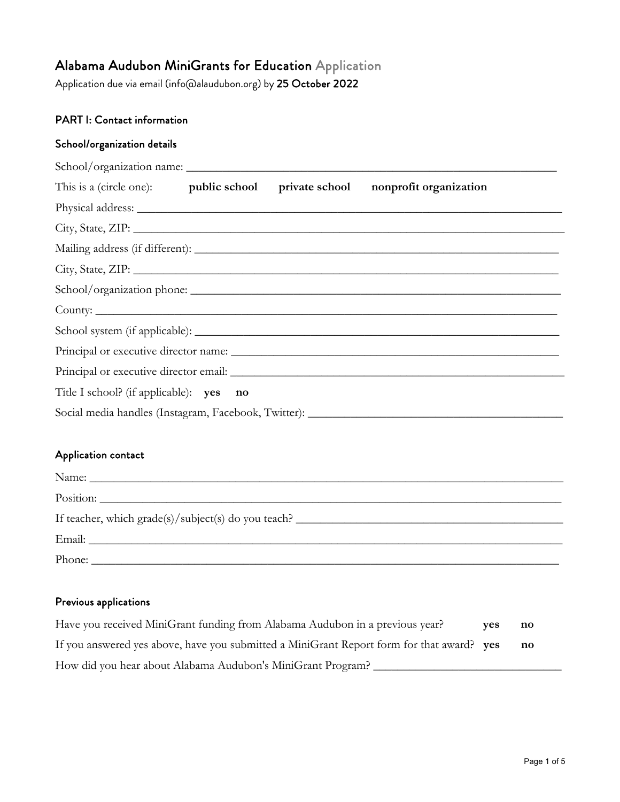# Alabama Audubon MiniGrants for Education Application

Application due via email (info@alaudubon.org) by 25 October 2022

# PART I: Contact information

## School/organization details

|                                                                                   |  |  | This is a (circle one): public school private school nonprofit organization                                                                                                                                                          |  |  |
|-----------------------------------------------------------------------------------|--|--|--------------------------------------------------------------------------------------------------------------------------------------------------------------------------------------------------------------------------------------|--|--|
|                                                                                   |  |  | Physical address: <u>New York: Wallen and State and State and State and State and State and State and State and State and State and State and State and State and State and State and State and State and State and State and St</u> |  |  |
|                                                                                   |  |  |                                                                                                                                                                                                                                      |  |  |
|                                                                                   |  |  |                                                                                                                                                                                                                                      |  |  |
|                                                                                   |  |  |                                                                                                                                                                                                                                      |  |  |
|                                                                                   |  |  |                                                                                                                                                                                                                                      |  |  |
|                                                                                   |  |  |                                                                                                                                                                                                                                      |  |  |
|                                                                                   |  |  |                                                                                                                                                                                                                                      |  |  |
|                                                                                   |  |  |                                                                                                                                                                                                                                      |  |  |
|                                                                                   |  |  |                                                                                                                                                                                                                                      |  |  |
| Title I school? (if applicable): yes no                                           |  |  |                                                                                                                                                                                                                                      |  |  |
| Social media handles (Instagram, Facebook, Twitter): ____________________________ |  |  |                                                                                                                                                                                                                                      |  |  |

#### Application contact

| Phone: $\frac{1}{\sqrt{1-\frac{1}{2}}\sqrt{1-\frac{1}{2}}\sqrt{1-\frac{1}{2}}\sqrt{1-\frac{1}{2}}\sqrt{1-\frac{1}{2}}\sqrt{1-\frac{1}{2}}\sqrt{1-\frac{1}{2}}\sqrt{1-\frac{1}{2}}\sqrt{1-\frac{1}{2}}\sqrt{1-\frac{1}{2}}\sqrt{1-\frac{1}{2}}\sqrt{1-\frac{1}{2}}\sqrt{1-\frac{1}{2}}\sqrt{1-\frac{1}{2}}\sqrt{1-\frac{1}{2}}\sqrt{1-\frac{1}{2}}\sqrt{1-\frac{1}{2}}\sqrt{1-\frac{1}{2}}\sqrt{1-\frac{1}{2$ |
|--------------------------------------------------------------------------------------------------------------------------------------------------------------------------------------------------------------------------------------------------------------------------------------------------------------------------------------------------------------------------------------------------------------|

## Previous applications

| Have you received MiniGrant funding from Alabama Audubon in a previous year?              | <b>ves</b> | $\mathbf{n}\mathbf{o}$ |  |
|-------------------------------------------------------------------------------------------|------------|------------------------|--|
| If you answered yes above, have you submitted a MiniGrant Report form for that award? yes |            | $\mathbf{n}\mathbf{o}$ |  |
| How did you hear about Alabama Audubon's MiniGrant Program?                               |            |                        |  |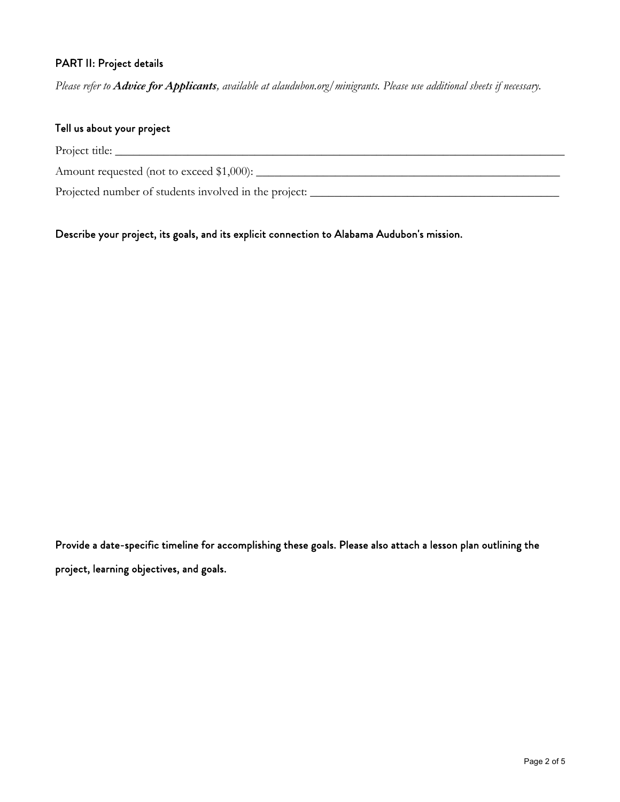# PART II: Project details

*Please refer to Advice for Applicants, available at alaudubon.org/minigrants. Please use additional sheets if necessary.* 

| Tell us about your project                            |
|-------------------------------------------------------|
| Project title:                                        |
| Amount requested (not to exceed \$1,000):             |
| Projected number of students involved in the project: |

Describe your project, its goals, and its explicit connection to Alabama Audubon's mission.

Provide a date-specific timeline for accomplishing these goals. Please also attach a lesson plan outlining the project, learning objectives, and goals.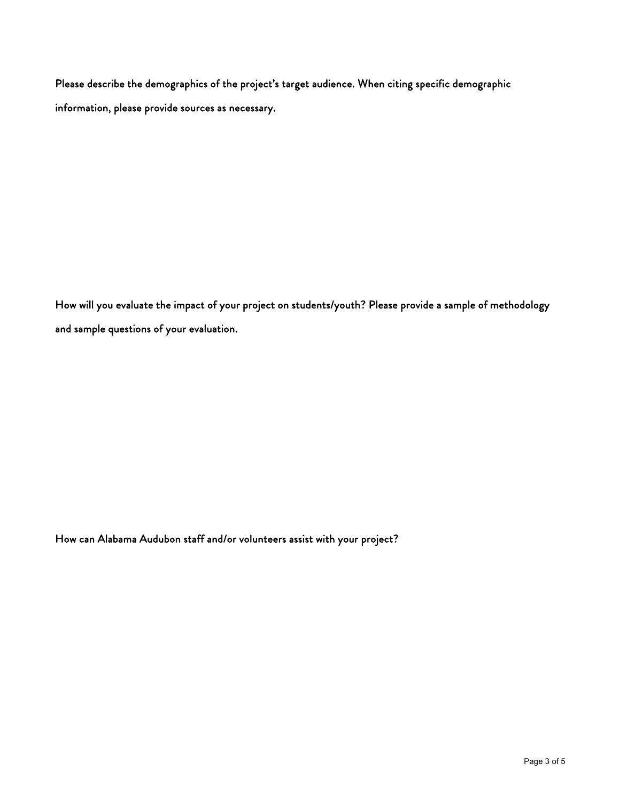Please describe the demographics of the project's target audience. When citing specific demographic information, please provide sources as necessary.

How will you evaluate the impact of your project on students/youth? Please provide a sample of methodology and sample questions of your evaluation.

How can Alabama Audubon staff and/or volunteers assist with your project?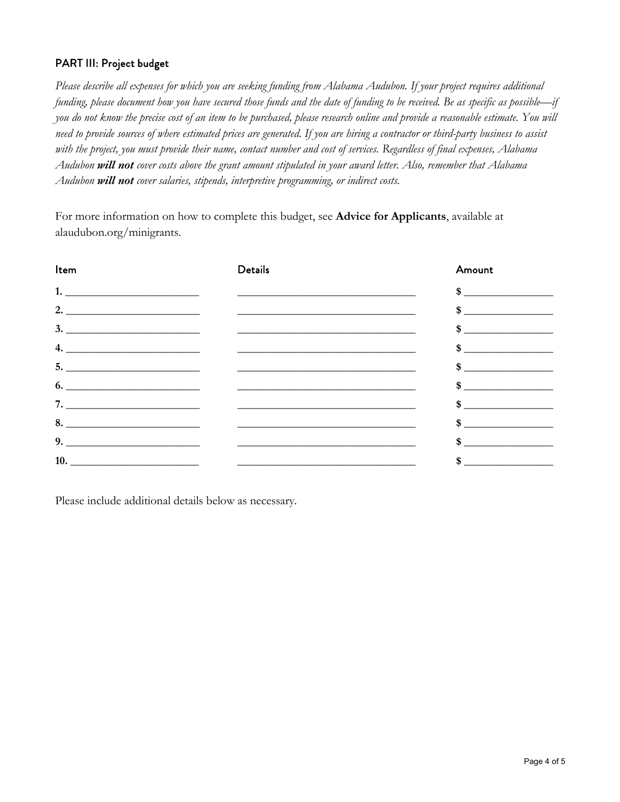## PART III: Project budget

*Please describe all expenses for which you are seeking funding from Alabama Audubon. If your project requires additional funding, please document how you have secured those funds and the date of funding to be received. Be as specific as possible—if you do not know the precise cost of an item to be purchased, please research online and provide a reasonable estimate. You will need to provide sources of where estimated prices are generated. If you are hiring a contractor or third-party business to assist with the project, you must provide their name, contact number and cost of services. Regardless of final expenses, Alabama Audubon will not cover costs above the grant amount stipulated in your award letter. Also, remember that Alabama Audubon will not cover salaries, stipends, interpretive programming, or indirect costs.* 

For more information on how to complete this budget, see **Advice for Applicants**, available at alaudubon.org/minigrants.

| Item                                                | <b>Details</b>                                              | Amount        |
|-----------------------------------------------------|-------------------------------------------------------------|---------------|
|                                                     | <u> 1986 - Johann Barn, mars and de Brasilian (b. 1986)</u> | $\frac{1}{2}$ |
| 2. $\overline{\phantom{a} \phantom{a} \phantom{a}}$ |                                                             | $\frac{1}{2}$ |
|                                                     | $\frac{3.}{2}$                                              |               |
| 4.                                                  |                                                             |               |
|                                                     | $\overline{\phantom{a}}$                                    | $\frac{1}{2}$ |
|                                                     |                                                             | $\frac{1}{2}$ |
| 7.                                                  |                                                             | $\frac{1}{2}$ |
|                                                     |                                                             | $\frac{1}{2}$ |
|                                                     |                                                             | $\frac{1}{2}$ |
|                                                     |                                                             | $\frac{1}{2}$ |

Please include additional details below as necessary.